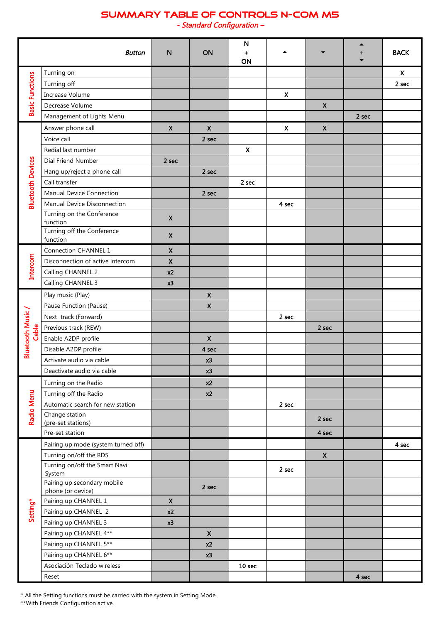## **SUMMARY TABLE OF CONTROLS N-COM M5**

*- Standard Configuration –* 

|                           | <b>Button</b>                                              | N                         | ON                 | ${\sf N}$<br>٠<br>ON |                           |                    | ▲<br>$\boldsymbol{+}$ | <b>BACK</b>               |
|---------------------------|------------------------------------------------------------|---------------------------|--------------------|----------------------|---------------------------|--------------------|-----------------------|---------------------------|
| <b>Basic Functions</b>    | Turning on                                                 |                           |                    |                      |                           |                    |                       | $\boldsymbol{\mathsf{X}}$ |
|                           | Turning off                                                |                           |                    |                      |                           |                    |                       | 2 sec                     |
|                           | Increase Volume                                            |                           |                    |                      | $\boldsymbol{\mathsf{X}}$ |                    |                       |                           |
|                           | Decrease Volume                                            |                           |                    |                      |                           | $\mathsf{X}$       |                       |                           |
|                           | Management of Lights Menu                                  |                           |                    |                      |                           |                    | 2 sec                 |                           |
|                           | Answer phone call                                          | X                         | $\boldsymbol{X}$   |                      | $\boldsymbol{\mathsf{x}}$ | $\pmb{\mathsf{X}}$ |                       |                           |
|                           | Voice call                                                 |                           | 2 sec              |                      |                           |                    |                       |                           |
|                           | Redial last number                                         |                           |                    | $\pmb{\mathsf{X}}$   |                           |                    |                       |                           |
|                           | Dial Friend Number                                         | 2 sec                     |                    |                      |                           |                    |                       |                           |
|                           | Hang up/reject a phone call                                |                           | 2 sec              |                      |                           |                    |                       |                           |
|                           | Call transfer                                              |                           |                    | 2 sec                |                           |                    |                       |                           |
|                           | <b>Manual Device Connection</b>                            |                           | 2 sec              |                      |                           |                    |                       |                           |
| <b>Bluetooth Devices</b>  | Manual Device Disconnection                                |                           |                    |                      | 4 sec                     |                    |                       |                           |
|                           | Turning on the Conference<br>function                      | $\pmb{\mathsf{X}}$        |                    |                      |                           |                    |                       |                           |
|                           | Turning off the Conference<br>function                     | $\boldsymbol{\mathsf{X}}$ |                    |                      |                           |                    |                       |                           |
|                           | Connection CHANNEL 1                                       | $\pmb{\mathsf{X}}$        |                    |                      |                           |                    |                       |                           |
| Intercom                  | Disconnection of active intercom                           | $\pmb{\mathsf{X}}$        |                    |                      |                           |                    |                       |                           |
|                           | Calling CHANNEL 2                                          | x <sub>2</sub>            |                    |                      |                           |                    |                       |                           |
|                           | Calling CHANNEL 3                                          | x3                        |                    |                      |                           |                    |                       |                           |
|                           | Play music (Play)                                          |                           | $\mathsf{x}$       |                      |                           |                    |                       |                           |
|                           | Pause Function (Pause)                                     |                           | $\pmb{\mathsf{X}}$ |                      |                           |                    |                       |                           |
|                           | Next track (Forward)                                       |                           |                    |                      | 2 sec                     |                    |                       |                           |
| Bluetooth Music/<br>Cable | Previous track (REW)                                       |                           |                    |                      |                           | 2 sec              |                       |                           |
|                           | Enable A2DP profile                                        |                           | $\mathsf{X}$       |                      |                           |                    |                       |                           |
|                           | Disable A2DP profile                                       |                           | 4 sec              |                      |                           |                    |                       |                           |
|                           | Activate audio via cable                                   |                           | x3                 |                      |                           |                    |                       |                           |
|                           | Deactivate audio via cable                                 |                           | x3                 |                      |                           |                    |                       |                           |
|                           | Turning on the Radio                                       |                           | x2                 |                      |                           |                    |                       |                           |
|                           | Turning off the Radio                                      |                           | x2                 |                      |                           |                    |                       |                           |
|                           | Automatic search for new station                           |                           |                    |                      | 2 sec                     |                    |                       |                           |
| <b>Radio Menu</b>         | Change station<br>(pre-set stations)                       |                           |                    |                      |                           | 2 sec              |                       |                           |
|                           | Pre-set station                                            |                           |                    |                      |                           | 4 sec              |                       |                           |
| Setting*                  | Pairing up mode (system turned off)                        |                           |                    |                      |                           |                    |                       | 4 sec                     |
|                           | Turning on/off the RDS                                     |                           |                    |                      |                           | $\pmb{\mathsf{X}}$ |                       |                           |
|                           | Turning on/off the Smart Navi                              |                           |                    |                      | 2 sec                     |                    |                       |                           |
|                           | System<br>Pairing up secondary mobile<br>phone (or device) |                           | 2 sec              |                      |                           |                    |                       |                           |
|                           | Pairing up CHANNEL 1                                       | $\pmb{\mathsf{X}}$        |                    |                      |                           |                    |                       |                           |
|                           | Pairing up CHANNEL 2                                       | x <sub>2</sub>            |                    |                      |                           |                    |                       |                           |
|                           | Pairing up CHANNEL 3                                       | x3                        |                    |                      |                           |                    |                       |                           |
|                           | Pairing up CHANNEL 4**                                     |                           | $\mathsf{X}$       |                      |                           |                    |                       |                           |
|                           | Pairing up CHANNEL 5**                                     |                           | x2                 |                      |                           |                    |                       |                           |
|                           | Pairing up CHANNEL 6**                                     |                           | x3                 |                      |                           |                    |                       |                           |
|                           | Asociación Teclado wireless                                |                           |                    | 10 sec               |                           |                    |                       |                           |
|                           | Reset                                                      |                           |                    |                      |                           |                    | 4 sec                 |                           |

\* All the Setting functions must be carried with the system in Setting Mode.

\*\*With Friends Configuration active.